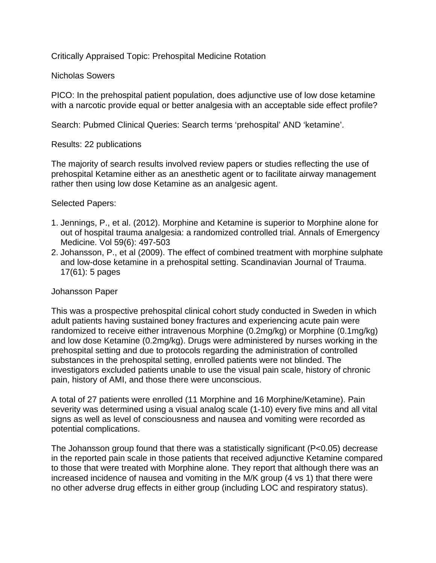Critically Appraised Topic: Prehospital Medicine Rotation

## Nicholas Sowers

PICO: In the prehospital patient population, does adjunctive use of low dose ketamine with a narcotic provide equal or better analgesia with an acceptable side effect profile?

Search: Pubmed Clinical Queries: Search terms 'prehospital' AND 'ketamine'.

# Results: 22 publications

The majority of search results involved review papers or studies reflecting the use of prehospital Ketamine either as an anesthetic agent or to facilitate airway management rather then using low dose Ketamine as an analgesic agent.

# Selected Papers:

- 1. Jennings, P., et al. (2012). Morphine and Ketamine is superior to Morphine alone for out of hospital trauma analgesia: a randomized controlled trial. Annals of Emergency Medicine. Vol 59(6): 497-503
- 2. Johansson, P., et al (2009). The effect of combined treatment with morphine sulphate and low-dose ketamine in a prehospital setting. Scandinavian Journal of Trauma. 17(61): 5 pages

### Johansson Paper

This was a prospective prehospital clinical cohort study conducted in Sweden in which adult patients having sustained boney fractures and experiencing acute pain were randomized to receive either intravenous Morphine (0.2mg/kg) or Morphine (0.1mg/kg) and low dose Ketamine (0.2mg/kg). Drugs were administered by nurses working in the prehospital setting and due to protocols regarding the administration of controlled substances in the prehospital setting, enrolled patients were not blinded. The investigators excluded patients unable to use the visual pain scale, history of chronic pain, history of AMI, and those there were unconscious.

A total of 27 patients were enrolled (11 Morphine and 16 Morphine/Ketamine). Pain severity was determined using a visual analog scale (1-10) every five mins and all vital signs as well as level of consciousness and nausea and vomiting were recorded as potential complications.

The Johansson group found that there was a statistically significant (P<0.05) decrease in the reported pain scale in those patients that received adjunctive Ketamine compared to those that were treated with Morphine alone. They report that although there was an increased incidence of nausea and vomiting in the M/K group (4 vs 1) that there were no other adverse drug effects in either group (including LOC and respiratory status).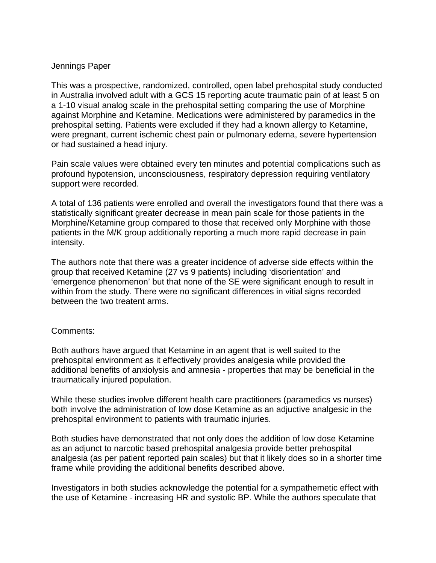#### Jennings Paper

This was a prospective, randomized, controlled, open label prehospital study conducted in Australia involved adult with a GCS 15 reporting acute traumatic pain of at least 5 on a 1-10 visual analog scale in the prehospital setting comparing the use of Morphine against Morphine and Ketamine. Medications were administered by paramedics in the prehospital setting. Patients were excluded if they had a known allergy to Ketamine, were pregnant, current ischemic chest pain or pulmonary edema, severe hypertension or had sustained a head injury.

Pain scale values were obtained every ten minutes and potential complications such as profound hypotension, unconsciousness, respiratory depression requiring ventilatory support were recorded.

A total of 136 patients were enrolled and overall the investigators found that there was a statistically significant greater decrease in mean pain scale for those patients in the Morphine/Ketamine group compared to those that received only Morphine with those patients in the M/K group additionally reporting a much more rapid decrease in pain intensity.

The authors note that there was a greater incidence of adverse side effects within the group that received Ketamine (27 vs 9 patients) including 'disorientation' and 'emergence phenomenon' but that none of the SE were significant enough to result in within from the study. There were no significant differences in vitial signs recorded between the two treatent arms.

#### Comments:

Both authors have argued that Ketamine in an agent that is well suited to the prehospital environment as it effectively provides analgesia while provided the additional benefits of anxiolysis and amnesia - properties that may be beneficial in the traumatically injured population.

While these studies involve different health care practitioners (paramedics vs nurses) both involve the administration of low dose Ketamine as an adjuctive analgesic in the prehospital environment to patients with traumatic injuries.

Both studies have demonstrated that not only does the addition of low dose Ketamine as an adjunct to narcotic based prehospital analgesia provide better prehospital analgesia (as per patient reported pain scales) but that it likely does so in a shorter time frame while providing the additional benefits described above.

Investigators in both studies acknowledge the potential for a sympathemetic effect with the use of Ketamine - increasing HR and systolic BP. While the authors speculate that